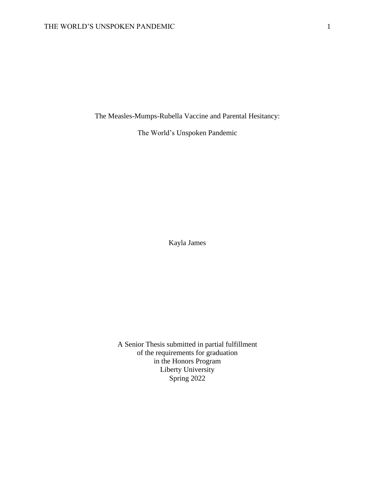The Measles-Mumps-Rubella Vaccine and Parental Hesitancy:

The World's Unspoken Pandemic

Kayla James

A Senior Thesis submitted in partial fulfillment of the requirements for graduation in the Honors Program Liberty University Spring 2022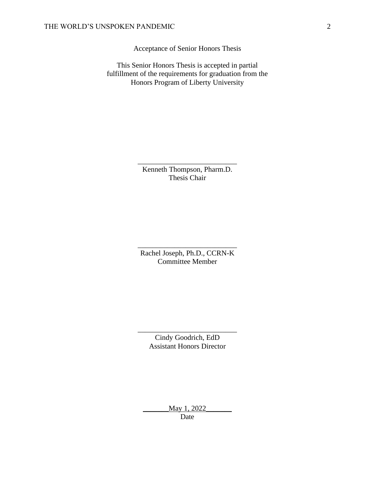Acceptance of Senior Honors Thesis

This Senior Honors Thesis is accepted in partial fulfillment of the requirements for graduation from the Honors Program of Liberty University

> Kenneth Thompson, Pharm.D. Thesis Chair

\_\_\_\_\_\_\_\_\_\_\_\_\_\_\_\_\_\_\_\_\_\_\_\_\_\_\_

Rachel Joseph, Ph.D., CCRN-K Committee Member

\_\_\_\_\_\_\_\_\_\_\_\_\_\_\_\_\_\_\_\_\_\_\_\_\_\_\_

Cindy Goodrich, EdD Assistant Honors Director

\_\_\_\_\_\_\_\_\_\_\_\_\_\_\_\_\_\_\_\_\_\_\_\_\_\_\_

\_\_\_\_\_\_\_May 1, 2022\_\_\_\_\_\_\_ Date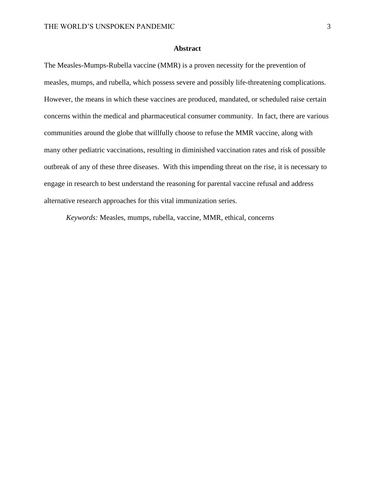#### **Abstract**

The Measles-Mumps-Rubella vaccine (MMR) is a proven necessity for the prevention of measles, mumps, and rubella, which possess severe and possibly life-threatening complications. However, the means in which these vaccines are produced, mandated, or scheduled raise certain concerns within the medical and pharmaceutical consumer community. In fact, there are various communities around the globe that willfully choose to refuse the MMR vaccine, along with many other pediatric vaccinations, resulting in diminished vaccination rates and risk of possible outbreak of any of these three diseases. With this impending threat on the rise, it is necessary to engage in research to best understand the reasoning for parental vaccine refusal and address alternative research approaches for this vital immunization series.

*Keywords:* Measles, mumps, rubella, vaccine, MMR, ethical, concerns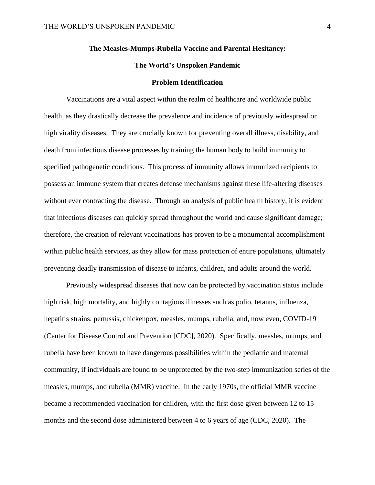#### **The Measles-Mumps-Rubella Vaccine and Parental Hesitancy:**

### **The World's Unspoken Pandemic**

#### **Problem Identification**

Vaccinations are a vital aspect within the realm of healthcare and worldwide public health, as they drastically decrease the prevalence and incidence of previously widespread or high virality diseases. They are crucially known for preventing overall illness, disability, and death from infectious disease processes by training the human body to build immunity to specified pathogenetic conditions. This process of immunity allows immunized recipients to possess an immune system that creates defense mechanisms against these life-altering diseases without ever contracting the disease. Through an analysis of public health history, it is evident that infectious diseases can quickly spread throughout the world and cause significant damage; therefore, the creation of relevant vaccinations has proven to be a monumental accomplishment within public health services, as they allow for mass protection of entire populations, ultimately preventing deadly transmission of disease to infants, children, and adults around the world.

Previously widespread diseases that now can be protected by vaccination status include high risk, high mortality, and highly contagious illnesses such as polio, tetanus, influenza, hepatitis strains, pertussis, chickenpox, measles, mumps, rubella, and, now even, COVID-19 (Center for Disease Control and Prevention [CDC], 2020). Specifically, measles, mumps, and rubella have been known to have dangerous possibilities within the pediatric and maternal community, if individuals are found to be unprotected by the two-step immunization series of the measles, mumps, and rubella (MMR) vaccine. In the early 1970s, the official MMR vaccine became a recommended vaccination for children, with the first dose given between 12 to 15 months and the second dose administered between 4 to 6 years of age (CDC, 2020). The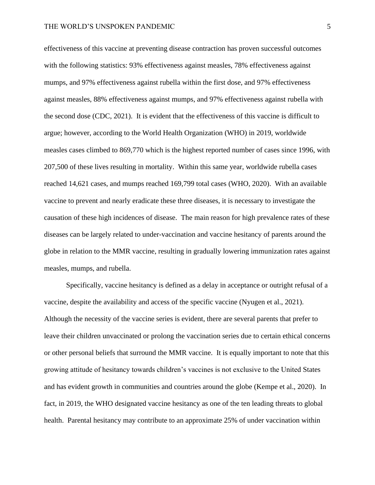effectiveness of this vaccine at preventing disease contraction has proven successful outcomes with the following statistics: 93% effectiveness against measles, 78% effectiveness against mumps, and 97% effectiveness against rubella within the first dose, and 97% effectiveness against measles, 88% effectiveness against mumps, and 97% effectiveness against rubella with the second dose (CDC, 2021). It is evident that the effectiveness of this vaccine is difficult to argue; however, according to the World Health Organization (WHO) in 2019, worldwide measles cases climbed to 869,770 which is the highest reported number of cases since 1996, with 207,500 of these lives resulting in mortality. Within this same year, worldwide rubella cases reached 14,621 cases, and mumps reached 169,799 total cases (WHO, 2020). With an available vaccine to prevent and nearly eradicate these three diseases, it is necessary to investigate the causation of these high incidences of disease. The main reason for high prevalence rates of these diseases can be largely related to under-vaccination and vaccine hesitancy of parents around the globe in relation to the MMR vaccine, resulting in gradually lowering immunization rates against measles, mumps, and rubella.

Specifically, vaccine hesitancy is defined as a delay in acceptance or outright refusal of a vaccine, despite the availability and access of the specific vaccine (Nyugen et al., 2021). Although the necessity of the vaccine series is evident, there are several parents that prefer to leave their children unvaccinated or prolong the vaccination series due to certain ethical concerns or other personal beliefs that surround the MMR vaccine. It is equally important to note that this growing attitude of hesitancy towards children's vaccines is not exclusive to the United States and has evident growth in communities and countries around the globe (Kempe et al., 2020). In fact, in 2019, the WHO designated vaccine hesitancy as one of the ten leading threats to global health. Parental hesitancy may contribute to an approximate 25% of under vaccination within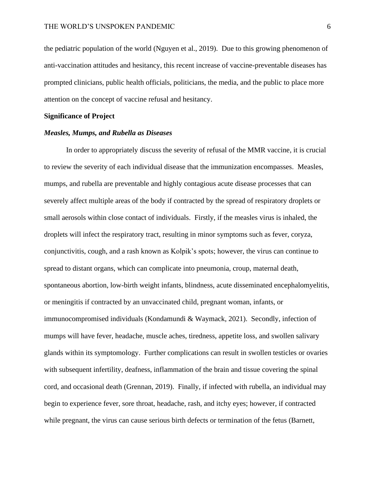the pediatric population of the world (Nguyen et al., 2019). Due to this growing phenomenon of anti-vaccination attitudes and hesitancy, this recent increase of vaccine-preventable diseases has prompted clinicians, public health officials, politicians, the media, and the public to place more attention on the concept of vaccine refusal and hesitancy.

#### **Significance of Project**

#### *Measles, Mumps, and Rubella as Diseases*

In order to appropriately discuss the severity of refusal of the MMR vaccine, it is crucial to review the severity of each individual disease that the immunization encompasses. Measles, mumps, and rubella are preventable and highly contagious acute disease processes that can severely affect multiple areas of the body if contracted by the spread of respiratory droplets or small aerosols within close contact of individuals. Firstly, if the measles virus is inhaled, the droplets will infect the respiratory tract, resulting in minor symptoms such as fever, coryza, conjunctivitis, cough, and a rash known as Kolpik's spots; however, the virus can continue to spread to distant organs, which can complicate into pneumonia, croup, maternal death, spontaneous abortion, low-birth weight infants, blindness, acute disseminated encephalomyelitis, or meningitis if contracted by an unvaccinated child, pregnant woman, infants, or immunocompromised individuals (Kondamundi & Waymack, 2021). Secondly, infection of mumps will have fever, headache, muscle aches, tiredness, appetite loss, and swollen salivary glands within its symptomology. Further complications can result in swollen testicles or ovaries with subsequent infertility, deafness, inflammation of the brain and tissue covering the spinal cord, and occasional death (Grennan, 2019). Finally, if infected with rubella, an individual may begin to experience fever, sore throat, headache, rash, and itchy eyes; however, if contracted while pregnant, the virus can cause serious birth defects or termination of the fetus (Barnett,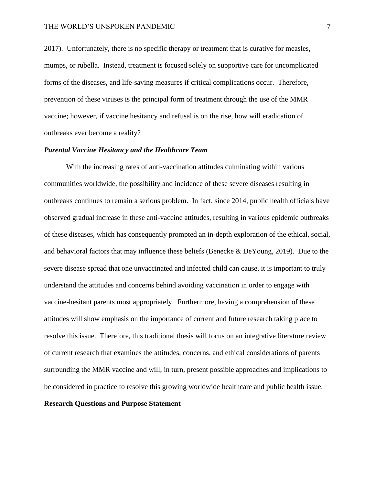2017). Unfortunately, there is no specific therapy or treatment that is curative for measles, mumps, or rubella. Instead, treatment is focused solely on supportive care for uncomplicated forms of the diseases, and life-saving measures if critical complications occur. Therefore, prevention of these viruses is the principal form of treatment through the use of the MMR vaccine; however, if vaccine hesitancy and refusal is on the rise, how will eradication of outbreaks ever become a reality?

#### *Parental Vaccine Hesitancy and the Healthcare Team*

With the increasing rates of anti-vaccination attitudes culminating within various communities worldwide, the possibility and incidence of these severe diseases resulting in outbreaks continues to remain a serious problem. In fact, since 2014, public health officials have observed gradual increase in these anti-vaccine attitudes, resulting in various epidemic outbreaks of these diseases, which has consequently prompted an in-depth exploration of the ethical, social, and behavioral factors that may influence these beliefs (Benecke & DeYoung, 2019). Due to the severe disease spread that one unvaccinated and infected child can cause, it is important to truly understand the attitudes and concerns behind avoiding vaccination in order to engage with vaccine-hesitant parents most appropriately. Furthermore, having a comprehension of these attitudes will show emphasis on the importance of current and future research taking place to resolve this issue. Therefore, this traditional thesis will focus on an integrative literature review of current research that examines the attitudes, concerns, and ethical considerations of parents surrounding the MMR vaccine and will, in turn, present possible approaches and implications to be considered in practice to resolve this growing worldwide healthcare and public health issue.

### **Research Questions and Purpose Statement**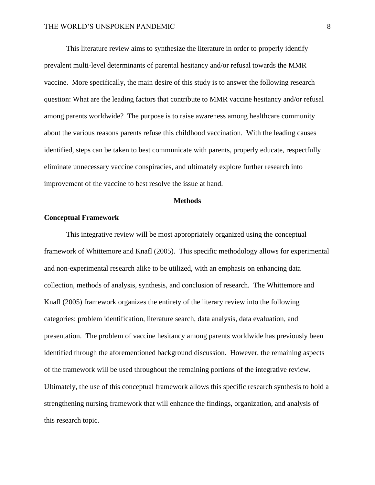This literature review aims to synthesize the literature in order to properly identify prevalent multi-level determinants of parental hesitancy and/or refusal towards the MMR vaccine. More specifically, the main desire of this study is to answer the following research question: What are the leading factors that contribute to MMR vaccine hesitancy and/or refusal among parents worldwide? The purpose is to raise awareness among healthcare community about the various reasons parents refuse this childhood vaccination. With the leading causes identified, steps can be taken to best communicate with parents, properly educate, respectfully eliminate unnecessary vaccine conspiracies, and ultimately explore further research into improvement of the vaccine to best resolve the issue at hand.

#### **Methods**

#### **Conceptual Framework**

This integrative review will be most appropriately organized using the conceptual framework of Whittemore and Knafl (2005). This specific methodology allows for experimental and non-experimental research alike to be utilized, with an emphasis on enhancing data collection, methods of analysis, synthesis, and conclusion of research. The Whittemore and Knafl (2005) framework organizes the entirety of the literary review into the following categories: problem identification, literature search, data analysis, data evaluation, and presentation. The problem of vaccine hesitancy among parents worldwide has previously been identified through the aforementioned background discussion. However, the remaining aspects of the framework will be used throughout the remaining portions of the integrative review. Ultimately, the use of this conceptual framework allows this specific research synthesis to hold a strengthening nursing framework that will enhance the findings, organization, and analysis of this research topic.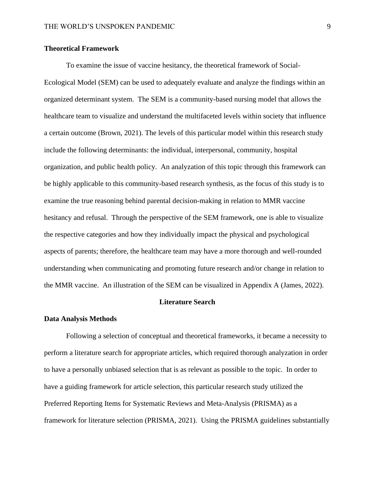#### **Theoretical Framework**

To examine the issue of vaccine hesitancy, the theoretical framework of Social-Ecological Model (SEM) can be used to adequately evaluate and analyze the findings within an organized determinant system. The SEM is a community-based nursing model that allows the healthcare team to visualize and understand the multifaceted levels within society that influence a certain outcome (Brown, 2021). The levels of this particular model within this research study include the following determinants: the individual, interpersonal, community, hospital organization, and public health policy. An analyzation of this topic through this framework can be highly applicable to this community-based research synthesis, as the focus of this study is to examine the true reasoning behind parental decision-making in relation to MMR vaccine hesitancy and refusal. Through the perspective of the SEM framework, one is able to visualize the respective categories and how they individually impact the physical and psychological aspects of parents; therefore, the healthcare team may have a more thorough and well-rounded understanding when communicating and promoting future research and/or change in relation to the MMR vaccine. An illustration of the SEM can be visualized in Appendix A (James, 2022).

#### **Literature Search**

#### **Data Analysis Methods**

Following a selection of conceptual and theoretical frameworks, it became a necessity to perform a literature search for appropriate articles, which required thorough analyzation in order to have a personally unbiased selection that is as relevant as possible to the topic. In order to have a guiding framework for article selection, this particular research study utilized the Preferred Reporting Items for Systematic Reviews and Meta-Analysis (PRISMA) as a framework for literature selection (PRISMA, 2021). Using the PRISMA guidelines substantially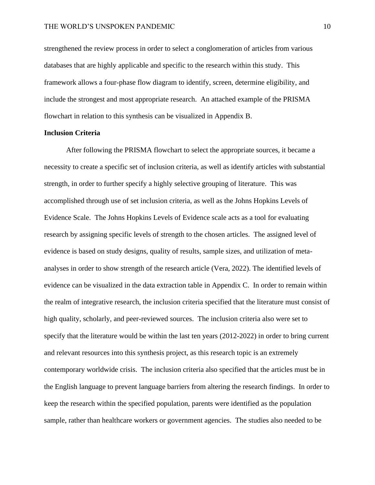strengthened the review process in order to select a conglomeration of articles from various databases that are highly applicable and specific to the research within this study. This framework allows a four-phase flow diagram to identify, screen, determine eligibility, and include the strongest and most appropriate research. An attached example of the PRISMA flowchart in relation to this synthesis can be visualized in Appendix B.

#### **Inclusion Criteria**

After following the PRISMA flowchart to select the appropriate sources, it became a necessity to create a specific set of inclusion criteria, as well as identify articles with substantial strength, in order to further specify a highly selective grouping of literature. This was accomplished through use of set inclusion criteria, as well as the Johns Hopkins Levels of Evidence Scale. The Johns Hopkins Levels of Evidence scale acts as a tool for evaluating research by assigning specific levels of strength to the chosen articles. The assigned level of evidence is based on study designs, quality of results, sample sizes, and utilization of metaanalyses in order to show strength of the research article (Vera, 2022). The identified levels of evidence can be visualized in the data extraction table in Appendix C. In order to remain within the realm of integrative research, the inclusion criteria specified that the literature must consist of high quality, scholarly, and peer-reviewed sources. The inclusion criteria also were set to specify that the literature would be within the last ten years (2012-2022) in order to bring current and relevant resources into this synthesis project, as this research topic is an extremely contemporary worldwide crisis. The inclusion criteria also specified that the articles must be in the English language to prevent language barriers from altering the research findings. In order to keep the research within the specified population, parents were identified as the population sample, rather than healthcare workers or government agencies. The studies also needed to be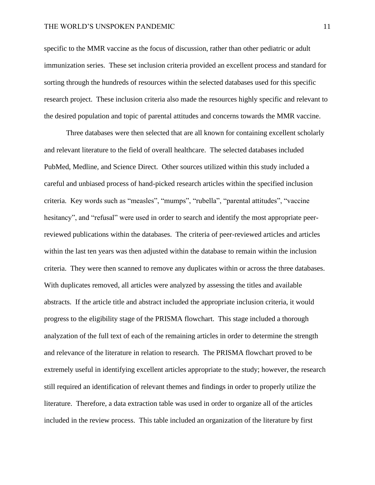#### THE WORLD'S UNSPOKEN PANDEMIC 11

specific to the MMR vaccine as the focus of discussion, rather than other pediatric or adult immunization series. These set inclusion criteria provided an excellent process and standard for sorting through the hundreds of resources within the selected databases used for this specific research project. These inclusion criteria also made the resources highly specific and relevant to the desired population and topic of parental attitudes and concerns towards the MMR vaccine.

Three databases were then selected that are all known for containing excellent scholarly and relevant literature to the field of overall healthcare. The selected databases included PubMed, Medline, and Science Direct. Other sources utilized within this study included a careful and unbiased process of hand-picked research articles within the specified inclusion criteria. Key words such as "measles", "mumps", "rubella", "parental attitudes", "vaccine hesitancy", and "refusal" were used in order to search and identify the most appropriate peerreviewed publications within the databases. The criteria of peer-reviewed articles and articles within the last ten years was then adjusted within the database to remain within the inclusion criteria. They were then scanned to remove any duplicates within or across the three databases. With duplicates removed, all articles were analyzed by assessing the titles and available abstracts. If the article title and abstract included the appropriate inclusion criteria, it would progress to the eligibility stage of the PRISMA flowchart. This stage included a thorough analyzation of the full text of each of the remaining articles in order to determine the strength and relevance of the literature in relation to research. The PRISMA flowchart proved to be extremely useful in identifying excellent articles appropriate to the study; however, the research still required an identification of relevant themes and findings in order to properly utilize the literature. Therefore, a data extraction table was used in order to organize all of the articles included in the review process. This table included an organization of the literature by first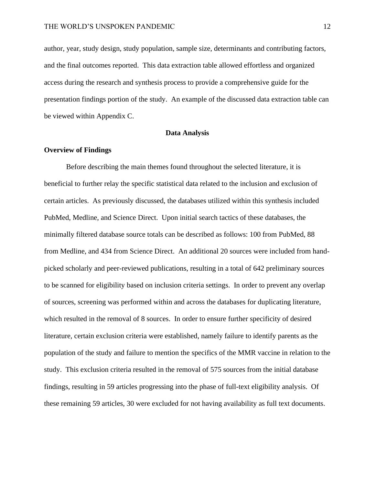author, year, study design, study population, sample size, determinants and contributing factors, and the final outcomes reported. This data extraction table allowed effortless and organized access during the research and synthesis process to provide a comprehensive guide for the presentation findings portion of the study. An example of the discussed data extraction table can be viewed within Appendix C.

#### **Data Analysis**

#### **Overview of Findings**

Before describing the main themes found throughout the selected literature, it is beneficial to further relay the specific statistical data related to the inclusion and exclusion of certain articles. As previously discussed, the databases utilized within this synthesis included PubMed, Medline, and Science Direct. Upon initial search tactics of these databases, the minimally filtered database source totals can be described as follows: 100 from PubMed, 88 from Medline, and 434 from Science Direct. An additional 20 sources were included from handpicked scholarly and peer-reviewed publications, resulting in a total of 642 preliminary sources to be scanned for eligibility based on inclusion criteria settings. In order to prevent any overlap of sources, screening was performed within and across the databases for duplicating literature, which resulted in the removal of 8 sources. In order to ensure further specificity of desired literature, certain exclusion criteria were established, namely failure to identify parents as the population of the study and failure to mention the specifics of the MMR vaccine in relation to the study. This exclusion criteria resulted in the removal of 575 sources from the initial database findings, resulting in 59 articles progressing into the phase of full-text eligibility analysis. Of these remaining 59 articles, 30 were excluded for not having availability as full text documents.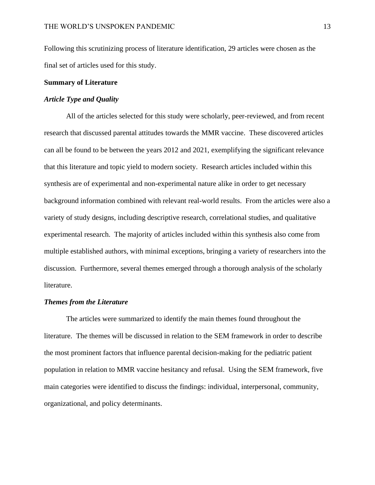Following this scrutinizing process of literature identification, 29 articles were chosen as the final set of articles used for this study.

### **Summary of Literature**

### *Article Type and Quality*

All of the articles selected for this study were scholarly, peer-reviewed, and from recent research that discussed parental attitudes towards the MMR vaccine. These discovered articles can all be found to be between the years 2012 and 2021, exemplifying the significant relevance that this literature and topic yield to modern society. Research articles included within this synthesis are of experimental and non-experimental nature alike in order to get necessary background information combined with relevant real-world results. From the articles were also a variety of study designs, including descriptive research, correlational studies, and qualitative experimental research. The majority of articles included within this synthesis also come from multiple established authors, with minimal exceptions, bringing a variety of researchers into the discussion. Furthermore, several themes emerged through a thorough analysis of the scholarly literature.

#### *Themes from the Literature*

The articles were summarized to identify the main themes found throughout the literature. The themes will be discussed in relation to the SEM framework in order to describe the most prominent factors that influence parental decision-making for the pediatric patient population in relation to MMR vaccine hesitancy and refusal. Using the SEM framework, five main categories were identified to discuss the findings: individual, interpersonal, community, organizational, and policy determinants.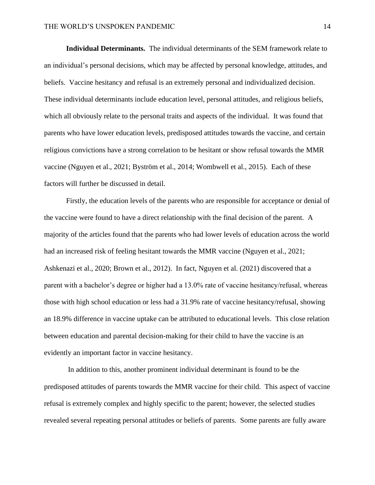**Individual Determinants.** The individual determinants of the SEM framework relate to an individual's personal decisions, which may be affected by personal knowledge, attitudes, and beliefs. Vaccine hesitancy and refusal is an extremely personal and individualized decision. These individual determinants include education level, personal attitudes, and religious beliefs, which all obviously relate to the personal traits and aspects of the individual. It was found that parents who have lower education levels, predisposed attitudes towards the vaccine, and certain religious convictions have a strong correlation to be hesitant or show refusal towards the MMR vaccine (Nguyen et al., 2021; Byström et al., 2014; Wombwell et al., 2015). Each of these factors will further be discussed in detail.

Firstly, the education levels of the parents who are responsible for acceptance or denial of the vaccine were found to have a direct relationship with the final decision of the parent. A majority of the articles found that the parents who had lower levels of education across the world had an increased risk of feeling hesitant towards the MMR vaccine (Nguyen et al., 2021; Ashkenazi et al., 2020; Brown et al., 2012). In fact, Nguyen et al. (2021) discovered that a parent with a bachelor's degree or higher had a 13.0% rate of vaccine hesitancy/refusal, whereas those with high school education or less had a 31.9% rate of vaccine hesitancy/refusal, showing an 18.9% difference in vaccine uptake can be attributed to educational levels. This close relation between education and parental decision-making for their child to have the vaccine is an evidently an important factor in vaccine hesitancy.

In addition to this, another prominent individual determinant is found to be the predisposed attitudes of parents towards the MMR vaccine for their child. This aspect of vaccine refusal is extremely complex and highly specific to the parent; however, the selected studies revealed several repeating personal attitudes or beliefs of parents. Some parents are fully aware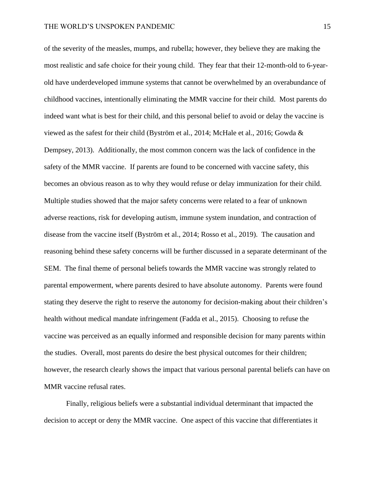of the severity of the measles, mumps, and rubella; however, they believe they are making the most realistic and safe choice for their young child. They fear that their 12-month-old to 6-yearold have underdeveloped immune systems that cannot be overwhelmed by an overabundance of childhood vaccines, intentionally eliminating the MMR vaccine for their child. Most parents do indeed want what is best for their child, and this personal belief to avoid or delay the vaccine is viewed as the safest for their child (Byström et al., 2014; McHale et al., 2016; Gowda & Dempsey, 2013). Additionally, the most common concern was the lack of confidence in the safety of the MMR vaccine. If parents are found to be concerned with vaccine safety, this becomes an obvious reason as to why they would refuse or delay immunization for their child. Multiple studies showed that the major safety concerns were related to a fear of unknown adverse reactions, risk for developing autism, immune system inundation, and contraction of disease from the vaccine itself (Byström et al., 2014; Rosso et al., 2019). The causation and reasoning behind these safety concerns will be further discussed in a separate determinant of the SEM. The final theme of personal beliefs towards the MMR vaccine was strongly related to parental empowerment, where parents desired to have absolute autonomy. Parents were found stating they deserve the right to reserve the autonomy for decision-making about their children's health without medical mandate infringement (Fadda et al., 2015). Choosing to refuse the vaccine was perceived as an equally informed and responsible decision for many parents within the studies. Overall, most parents do desire the best physical outcomes for their children; however, the research clearly shows the impact that various personal parental beliefs can have on MMR vaccine refusal rates.

Finally, religious beliefs were a substantial individual determinant that impacted the decision to accept or deny the MMR vaccine. One aspect of this vaccine that differentiates it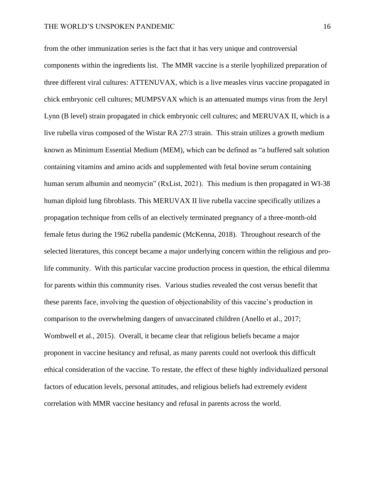from the other immunization series is the fact that it has very unique and controversial components within the ingredients list. The MMR vaccine is a sterile lyophilized preparation of three different viral cultures: ATTENUVAX, which is a live measles virus vaccine propagated in chick embryonic cell cultures; MUMPSVAX which is an attenuated mumps virus from the Jeryl Lynn (B level) strain propagated in chick embryonic cell cultures; and MERUVAX II, which is a live rubella virus composed of the Wistar RA 27/3 strain. This strain utilizes a growth medium known as Minimum Essential Medium (MEM), which can be defined as "a buffered salt solution containing vitamins and amino acids and supplemented with fetal bovine serum containing human serum albumin and neomycin" (RxList, 2021). This medium is then propagated in WI-38 human diploid lung fibroblasts. This MERUVAX II live rubella vaccine specifically utilizes a propagation technique from cells of an electively terminated pregnancy of a three-month-old female fetus during the 1962 rubella pandemic (McKenna, 2018). Throughout research of the selected literatures, this concept became a major underlying concern within the religious and prolife community. With this particular vaccine production process in question, the ethical dilemma for parents within this community rises. Various studies revealed the cost versus benefit that these parents face, involving the question of objectionability of this vaccine's production in comparison to the overwhelming dangers of unvaccinated children (Anello et al., 2017; Wombwell et al., 2015). Overall, it became clear that religious beliefs became a major proponent in vaccine hesitancy and refusal, as many parents could not overlook this difficult ethical consideration of the vaccine. To restate, the effect of these highly individualized personal factors of education levels, personal attitudes, and religious beliefs had extremely evident correlation with MMR vaccine hesitancy and refusal in parents across the world.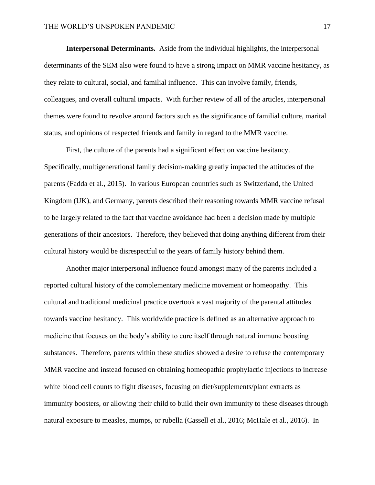**Interpersonal Determinants.** Aside from the individual highlights, the interpersonal determinants of the SEM also were found to have a strong impact on MMR vaccine hesitancy, as they relate to cultural, social, and familial influence. This can involve family, friends, colleagues, and overall cultural impacts. With further review of all of the articles, interpersonal themes were found to revolve around factors such as the significance of familial culture, marital status, and opinions of respected friends and family in regard to the MMR vaccine.

First, the culture of the parents had a significant effect on vaccine hesitancy. Specifically, multigenerational family decision-making greatly impacted the attitudes of the parents (Fadda et al., 2015). In various European countries such as Switzerland, the United Kingdom (UK), and Germany, parents described their reasoning towards MMR vaccine refusal to be largely related to the fact that vaccine avoidance had been a decision made by multiple generations of their ancestors. Therefore, they believed that doing anything different from their cultural history would be disrespectful to the years of family history behind them.

Another major interpersonal influence found amongst many of the parents included a reported cultural history of the complementary medicine movement or homeopathy. This cultural and traditional medicinal practice overtook a vast majority of the parental attitudes towards vaccine hesitancy. This worldwide practice is defined as an alternative approach to medicine that focuses on the body's ability to cure itself through natural immune boosting substances. Therefore, parents within these studies showed a desire to refuse the contemporary MMR vaccine and instead focused on obtaining homeopathic prophylactic injections to increase white blood cell counts to fight diseases, focusing on diet/supplements/plant extracts as immunity boosters, or allowing their child to build their own immunity to these diseases through natural exposure to measles, mumps, or rubella (Cassell et al., 2016; McHale et al., 2016). In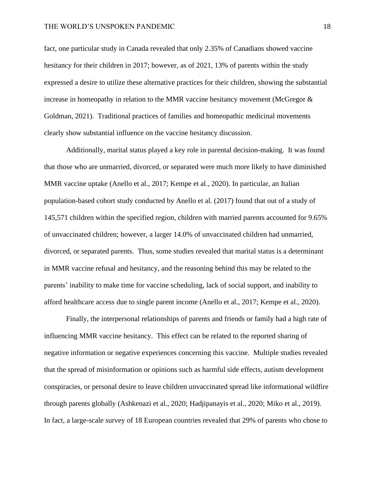#### THE WORLD'S UNSPOKEN PANDEMIC 18

fact, one particular study in Canada revealed that only 2.35% of Canadians showed vaccine hesitancy for their children in 2017; however, as of 2021, 13% of parents within the study expressed a desire to utilize these alternative practices for their children, showing the substantial increase in homeopathy in relation to the MMR vaccine hesitancy movement (McGregor & Goldman, 2021). Traditional practices of families and homeopathic medicinal movements clearly show substantial influence on the vaccine hesitancy discussion.

Additionally, marital status played a key role in parental decision-making. It was found that those who are unmarried, divorced, or separated were much more likely to have diminished MMR vaccine uptake (Anello et al., 2017; Kempe et al., 2020). In particular, an Italian population-based cohort study conducted by Anello et al. (2017) found that out of a study of 145,571 children within the specified region, children with married parents accounted for 9.65% of unvaccinated children; however, a larger 14.0% of unvaccinated children had unmarried, divorced, or separated parents. Thus, some studies revealed that marital status is a determinant in MMR vaccine refusal and hesitancy, and the reasoning behind this may be related to the parents' inability to make time for vaccine scheduling, lack of social support, and inability to afford healthcare access due to single parent income (Anello et al., 2017; Kempe et al., 2020).

Finally, the interpersonal relationships of parents and friends or family had a high rate of influencing MMR vaccine hesitancy. This effect can be related to the reported sharing of negative information or negative experiences concerning this vaccine. Multiple studies revealed that the spread of misinformation or opinions such as harmful side effects, autism development conspiracies, or personal desire to leave children unvaccinated spread like informational wildfire through parents globally (Ashkenazi et al., 2020; Hadjipanayis et al., 2020; Miko et al., 2019). In fact, a large-scale survey of 18 European countries revealed that 29% of parents who chose to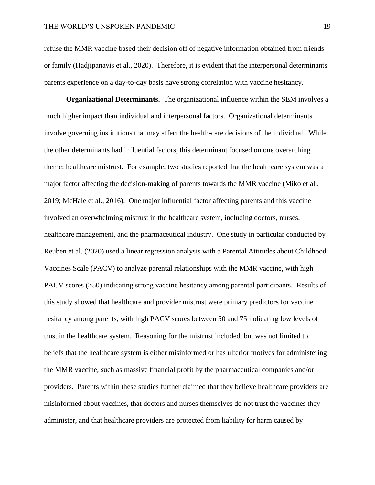refuse the MMR vaccine based their decision off of negative information obtained from friends or family (Hadjipanayis et al., 2020). Therefore, it is evident that the interpersonal determinants parents experience on a day-to-day basis have strong correlation with vaccine hesitancy.

**Organizational Determinants.** The organizational influence within the SEM involves a much higher impact than individual and interpersonal factors. Organizational determinants involve governing institutions that may affect the health-care decisions of the individual. While the other determinants had influential factors, this determinant focused on one overarching theme: healthcare mistrust. For example, two studies reported that the healthcare system was a major factor affecting the decision-making of parents towards the MMR vaccine (Miko et al., 2019; McHale et al., 2016). One major influential factor affecting parents and this vaccine involved an overwhelming mistrust in the healthcare system, including doctors, nurses, healthcare management, and the pharmaceutical industry. One study in particular conducted by Reuben et al. (2020) used a linear regression analysis with a Parental Attitudes about Childhood Vaccines Scale (PACV) to analyze parental relationships with the MMR vaccine, with high PACV scores (>50) indicating strong vaccine hesitancy among parental participants. Results of this study showed that healthcare and provider mistrust were primary predictors for vaccine hesitancy among parents, with high PACV scores between 50 and 75 indicating low levels of trust in the healthcare system. Reasoning for the mistrust included, but was not limited to, beliefs that the healthcare system is either misinformed or has ulterior motives for administering the MMR vaccine, such as massive financial profit by the pharmaceutical companies and/or providers. Parents within these studies further claimed that they believe healthcare providers are misinformed about vaccines, that doctors and nurses themselves do not trust the vaccines they administer, and that healthcare providers are protected from liability for harm caused by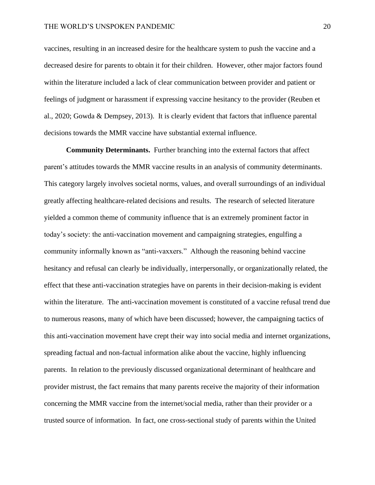#### THE WORLD'S UNSPOKEN PANDEMIC 20

vaccines, resulting in an increased desire for the healthcare system to push the vaccine and a decreased desire for parents to obtain it for their children. However, other major factors found within the literature included a lack of clear communication between provider and patient or feelings of judgment or harassment if expressing vaccine hesitancy to the provider (Reuben et al., 2020; Gowda & Dempsey, 2013). It is clearly evident that factors that influence parental decisions towards the MMR vaccine have substantial external influence.

**Community Determinants.** Further branching into the external factors that affect parent's attitudes towards the MMR vaccine results in an analysis of community determinants. This category largely involves societal norms, values, and overall surroundings of an individual greatly affecting healthcare-related decisions and results. The research of selected literature yielded a common theme of community influence that is an extremely prominent factor in today's society: the anti-vaccination movement and campaigning strategies, engulfing a community informally known as "anti-vaxxers." Although the reasoning behind vaccine hesitancy and refusal can clearly be individually, interpersonally, or organizationally related, the effect that these anti-vaccination strategies have on parents in their decision-making is evident within the literature. The anti-vaccination movement is constituted of a vaccine refusal trend due to numerous reasons, many of which have been discussed; however, the campaigning tactics of this anti-vaccination movement have crept their way into social media and internet organizations, spreading factual and non-factual information alike about the vaccine, highly influencing parents. In relation to the previously discussed organizational determinant of healthcare and provider mistrust, the fact remains that many parents receive the majority of their information concerning the MMR vaccine from the internet/social media, rather than their provider or a trusted source of information. In fact, one cross-sectional study of parents within the United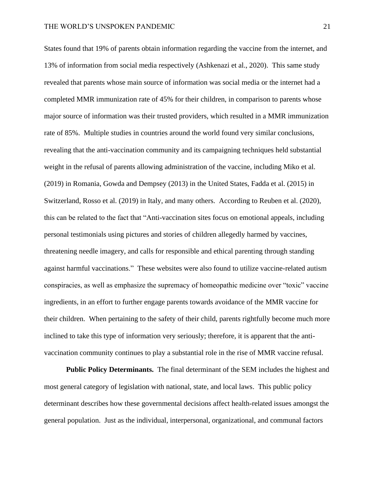States found that 19% of parents obtain information regarding the vaccine from the internet, and 13% of information from social media respectively (Ashkenazi et al., 2020). This same study revealed that parents whose main source of information was social media or the internet had a completed MMR immunization rate of 45% for their children, in comparison to parents whose major source of information was their trusted providers, which resulted in a MMR immunization rate of 85%. Multiple studies in countries around the world found very similar conclusions, revealing that the anti-vaccination community and its campaigning techniques held substantial weight in the refusal of parents allowing administration of the vaccine, including Miko et al. (2019) in Romania, Gowda and Dempsey (2013) in the United States, Fadda et al. (2015) in Switzerland, Rosso et al. (2019) in Italy, and many others. According to Reuben et al. (2020), this can be related to the fact that "Anti-vaccination sites focus on emotional appeals, including personal testimonials using pictures and stories of children allegedly harmed by vaccines, threatening needle imagery, and calls for responsible and ethical parenting through standing against harmful vaccinations." These websites were also found to utilize vaccine-related autism conspiracies, as well as emphasize the supremacy of homeopathic medicine over "toxic" vaccine ingredients, in an effort to further engage parents towards avoidance of the MMR vaccine for their children. When pertaining to the safety of their child, parents rightfully become much more inclined to take this type of information very seriously; therefore, it is apparent that the antivaccination community continues to play a substantial role in the rise of MMR vaccine refusal.

**Public Policy Determinants.** The final determinant of the SEM includes the highest and most general category of legislation with national, state, and local laws. This public policy determinant describes how these governmental decisions affect health-related issues amongst the general population. Just as the individual, interpersonal, organizational, and communal factors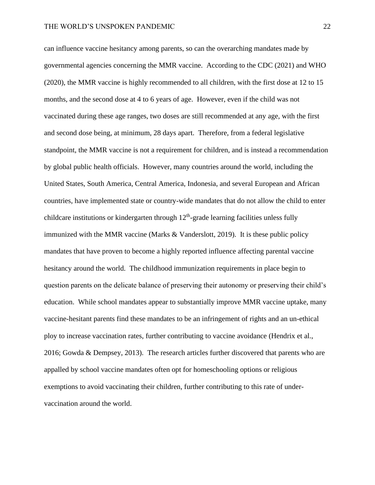can influence vaccine hesitancy among parents, so can the overarching mandates made by governmental agencies concerning the MMR vaccine. According to the CDC (2021) and WHO (2020), the MMR vaccine is highly recommended to all children, with the first dose at 12 to 15 months, and the second dose at 4 to 6 years of age. However, even if the child was not vaccinated during these age ranges, two doses are still recommended at any age, with the first and second dose being, at minimum, 28 days apart. Therefore, from a federal legislative standpoint, the MMR vaccine is not a requirement for children, and is instead a recommendation by global public health officials. However, many countries around the world, including the United States, South America, Central America, Indonesia, and several European and African countries, have implemented state or country-wide mandates that do not allow the child to enter childcare institutions or kindergarten through  $12<sup>th</sup>$ -grade learning facilities unless fully immunized with the MMR vaccine (Marks & Vanderslott, 2019). It is these public policy mandates that have proven to become a highly reported influence affecting parental vaccine hesitancy around the world. The childhood immunization requirements in place begin to question parents on the delicate balance of preserving their autonomy or preserving their child's education. While school mandates appear to substantially improve MMR vaccine uptake, many vaccine-hesitant parents find these mandates to be an infringement of rights and an un-ethical ploy to increase vaccination rates, further contributing to vaccine avoidance (Hendrix et al., 2016; Gowda & Dempsey, 2013). The research articles further discovered that parents who are appalled by school vaccine mandates often opt for homeschooling options or religious exemptions to avoid vaccinating their children, further contributing to this rate of undervaccination around the world.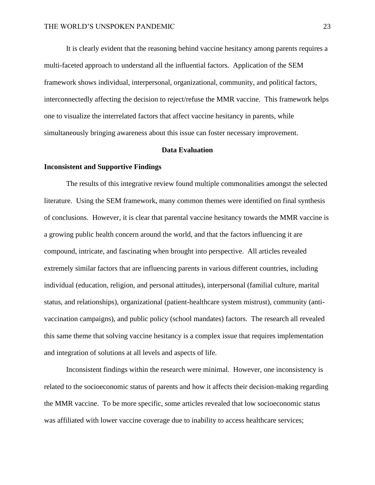It is clearly evident that the reasoning behind vaccine hesitancy among parents requires a multi-faceted approach to understand all the influential factors. Application of the SEM framework shows individual, interpersonal, organizational, community, and political factors, interconnectedly affecting the decision to reject/refuse the MMR vaccine. This framework helps one to visualize the interrelated factors that affect vaccine hesitancy in parents, while simultaneously bringing awareness about this issue can foster necessary improvement.

#### **Data Evaluation**

#### **Inconsistent and Supportive Findings**

The results of this integrative review found multiple commonalities amongst the selected literature. Using the SEM framework, many common themes were identified on final synthesis of conclusions. However, it is clear that parental vaccine hesitancy towards the MMR vaccine is a growing public health concern around the world, and that the factors influencing it are compound, intricate, and fascinating when brought into perspective. All articles revealed extremely similar factors that are influencing parents in various different countries, including individual (education, religion, and personal attitudes), interpersonal (familial culture, marital status, and relationships), organizational (patient-healthcare system mistrust), community (antivaccination campaigns), and public policy (school mandates) factors. The research all revealed this same theme that solving vaccine hesitancy is a complex issue that requires implementation and integration of solutions at all levels and aspects of life.

Inconsistent findings within the research were minimal. However, one inconsistency is related to the socioeconomic status of parents and how it affects their decision-making regarding the MMR vaccine. To be more specific, some articles revealed that low socioeconomic status was affiliated with lower vaccine coverage due to inability to access healthcare services;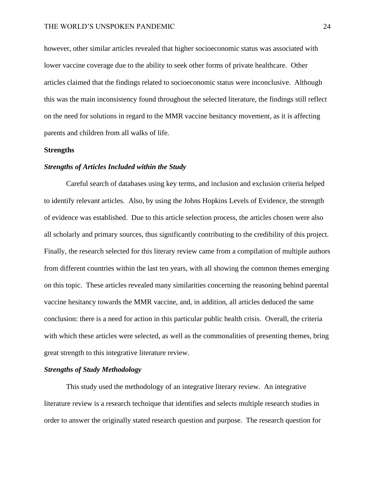however, other similar articles revealed that higher socioeconomic status was associated with lower vaccine coverage due to the ability to seek other forms of private healthcare. Other articles claimed that the findings related to socioeconomic status were inconclusive. Although this was the main inconsistency found throughout the selected literature, the findings still reflect on the need for solutions in regard to the MMR vaccine hesitancy movement, as it is affecting parents and children from all walks of life.

#### **Strengths**

#### *Strengths of Articles Included within the Study*

Careful search of databases using key terms, and inclusion and exclusion criteria helped to identify relevant articles. Also, by using the Johns Hopkins Levels of Evidence, the strength of evidence was established. Due to this article selection process, the articles chosen were also all scholarly and primary sources, thus significantly contributing to the credibility of this project. Finally, the research selected for this literary review came from a compilation of multiple authors from different countries within the last ten years, with all showing the common themes emerging on this topic. These articles revealed many similarities concerning the reasoning behind parental vaccine hesitancy towards the MMR vaccine, and, in addition, all articles deduced the same conclusion: there is a need for action in this particular public health crisis. Overall, the criteria with which these articles were selected, as well as the commonalities of presenting themes, bring great strength to this integrative literature review.

#### *Strengths of Study Methodology*

This study used the methodology of an integrative literary review. An integrative literature review is a research technique that identifies and selects multiple research studies in order to answer the originally stated research question and purpose. The research question for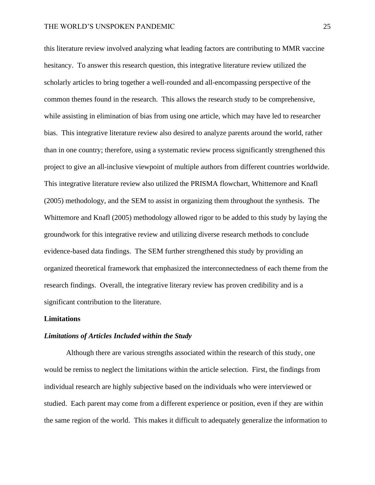this literature review involved analyzing what leading factors are contributing to MMR vaccine hesitancy. To answer this research question, this integrative literature review utilized the scholarly articles to bring together a well-rounded and all-encompassing perspective of the common themes found in the research. This allows the research study to be comprehensive, while assisting in elimination of bias from using one article, which may have led to researcher bias. This integrative literature review also desired to analyze parents around the world, rather than in one country; therefore, using a systematic review process significantly strengthened this project to give an all-inclusive viewpoint of multiple authors from different countries worldwide. This integrative literature review also utilized the PRISMA flowchart, Whittemore and Knafl (2005) methodology, and the SEM to assist in organizing them throughout the synthesis. The Whittemore and Knafl (2005) methodology allowed rigor to be added to this study by laying the groundwork for this integrative review and utilizing diverse research methods to conclude evidence-based data findings. The SEM further strengthened this study by providing an organized theoretical framework that emphasized the interconnectedness of each theme from the research findings. Overall, the integrative literary review has proven credibility and is a significant contribution to the literature.

#### **Limitations**

#### *Limitations of Articles Included within the Study*

Although there are various strengths associated within the research of this study, one would be remiss to neglect the limitations within the article selection. First, the findings from individual research are highly subjective based on the individuals who were interviewed or studied. Each parent may come from a different experience or position, even if they are within the same region of the world. This makes it difficult to adequately generalize the information to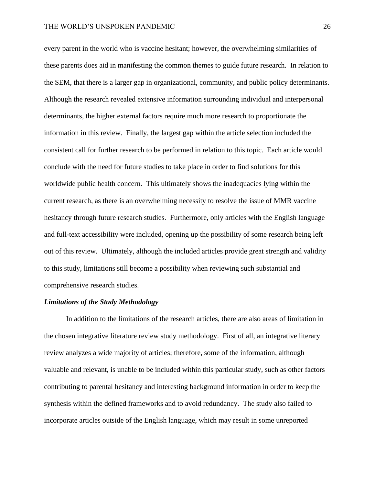#### THE WORLD'S UNSPOKEN PANDEMIC 26

every parent in the world who is vaccine hesitant; however, the overwhelming similarities of these parents does aid in manifesting the common themes to guide future research. In relation to the SEM, that there is a larger gap in organizational, community, and public policy determinants. Although the research revealed extensive information surrounding individual and interpersonal determinants, the higher external factors require much more research to proportionate the information in this review. Finally, the largest gap within the article selection included the consistent call for further research to be performed in relation to this topic. Each article would conclude with the need for future studies to take place in order to find solutions for this worldwide public health concern. This ultimately shows the inadequacies lying within the current research, as there is an overwhelming necessity to resolve the issue of MMR vaccine hesitancy through future research studies. Furthermore, only articles with the English language and full-text accessibility were included, opening up the possibility of some research being left out of this review. Ultimately, although the included articles provide great strength and validity to this study, limitations still become a possibility when reviewing such substantial and comprehensive research studies.

#### *Limitations of the Study Methodology*

In addition to the limitations of the research articles, there are also areas of limitation in the chosen integrative literature review study methodology. First of all, an integrative literary review analyzes a wide majority of articles; therefore, some of the information, although valuable and relevant, is unable to be included within this particular study, such as other factors contributing to parental hesitancy and interesting background information in order to keep the synthesis within the defined frameworks and to avoid redundancy. The study also failed to incorporate articles outside of the English language, which may result in some unreported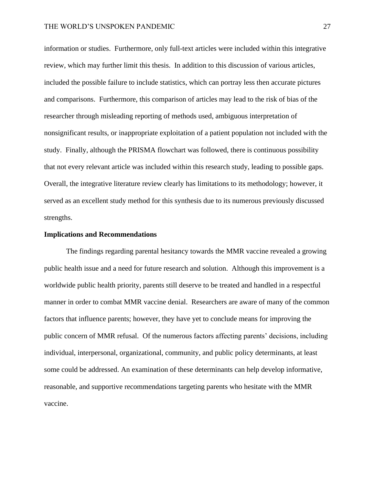#### THE WORLD'S UNSPOKEN PANDEMIC 27

information or studies. Furthermore, only full-text articles were included within this integrative review, which may further limit this thesis. In addition to this discussion of various articles, included the possible failure to include statistics, which can portray less then accurate pictures and comparisons. Furthermore, this comparison of articles may lead to the risk of bias of the researcher through misleading reporting of methods used, ambiguous interpretation of nonsignificant results, or inappropriate exploitation of a patient population not included with the study. Finally, although the PRISMA flowchart was followed, there is continuous possibility that not every relevant article was included within this research study, leading to possible gaps. Overall, the integrative literature review clearly has limitations to its methodology; however, it served as an excellent study method for this synthesis due to its numerous previously discussed strengths.

#### **Implications and Recommendations**

The findings regarding parental hesitancy towards the MMR vaccine revealed a growing public health issue and a need for future research and solution. Although this improvement is a worldwide public health priority, parents still deserve to be treated and handled in a respectful manner in order to combat MMR vaccine denial. Researchers are aware of many of the common factors that influence parents; however, they have yet to conclude means for improving the public concern of MMR refusal. Of the numerous factors affecting parents' decisions, including individual, interpersonal, organizational, community, and public policy determinants, at least some could be addressed. An examination of these determinants can help develop informative, reasonable, and supportive recommendations targeting parents who hesitate with the MMR vaccine.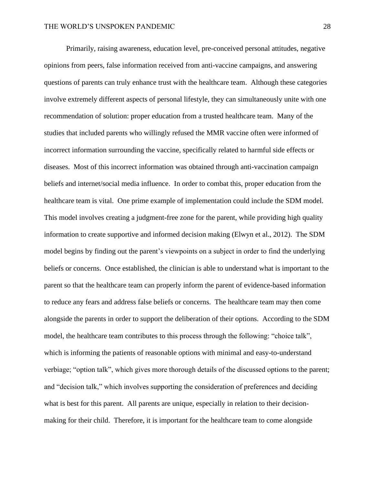Primarily, raising awareness, education level, pre-conceived personal attitudes, negative opinions from peers, false information received from anti-vaccine campaigns, and answering questions of parents can truly enhance trust with the healthcare team. Although these categories involve extremely different aspects of personal lifestyle, they can simultaneously unite with one recommendation of solution: proper education from a trusted healthcare team. Many of the studies that included parents who willingly refused the MMR vaccine often were informed of incorrect information surrounding the vaccine, specifically related to harmful side effects or diseases. Most of this incorrect information was obtained through anti-vaccination campaign beliefs and internet/social media influence. In order to combat this, proper education from the healthcare team is vital. One prime example of implementation could include the SDM model. This model involves creating a judgment-free zone for the parent, while providing high quality information to create supportive and informed decision making (Elwyn et al., 2012). The SDM model begins by finding out the parent's viewpoints on a subject in order to find the underlying beliefs or concerns. Once established, the clinician is able to understand what is important to the parent so that the healthcare team can properly inform the parent of evidence-based information to reduce any fears and address false beliefs or concerns. The healthcare team may then come alongside the parents in order to support the deliberation of their options. According to the SDM model, the healthcare team contributes to this process through the following: "choice talk", which is informing the patients of reasonable options with minimal and easy-to-understand verbiage; "option talk", which gives more thorough details of the discussed options to the parent; and "decision talk," which involves supporting the consideration of preferences and deciding what is best for this parent. All parents are unique, especially in relation to their decisionmaking for their child. Therefore, it is important for the healthcare team to come alongside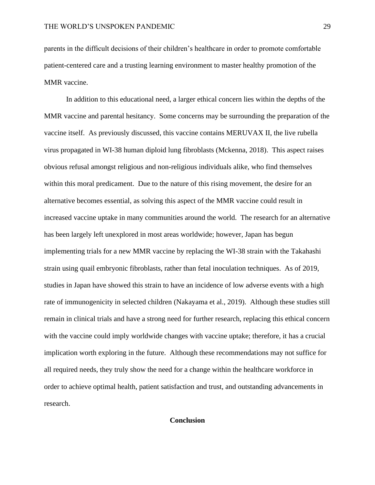parents in the difficult decisions of their children's healthcare in order to promote comfortable patient-centered care and a trusting learning environment to master healthy promotion of the MMR vaccine.

In addition to this educational need, a larger ethical concern lies within the depths of the MMR vaccine and parental hesitancy. Some concerns may be surrounding the preparation of the vaccine itself. As previously discussed, this vaccine contains MERUVAX II, the live rubella virus propagated in WI-38 human diploid lung fibroblasts (Mckenna, 2018). This aspect raises obvious refusal amongst religious and non-religious individuals alike, who find themselves within this moral predicament. Due to the nature of this rising movement, the desire for an alternative becomes essential, as solving this aspect of the MMR vaccine could result in increased vaccine uptake in many communities around the world. The research for an alternative has been largely left unexplored in most areas worldwide; however, Japan has begun implementing trials for a new MMR vaccine by replacing the WI-38 strain with the Takahashi strain using quail embryonic fibroblasts, rather than fetal inoculation techniques. As of 2019, studies in Japan have showed this strain to have an incidence of low adverse events with a high rate of immunogenicity in selected children (Nakayama et al., 2019). Although these studies still remain in clinical trials and have a strong need for further research, replacing this ethical concern with the vaccine could imply worldwide changes with vaccine uptake; therefore, it has a crucial implication worth exploring in the future. Although these recommendations may not suffice for all required needs, they truly show the need for a change within the healthcare workforce in order to achieve optimal health, patient satisfaction and trust, and outstanding advancements in research.

### **Conclusion**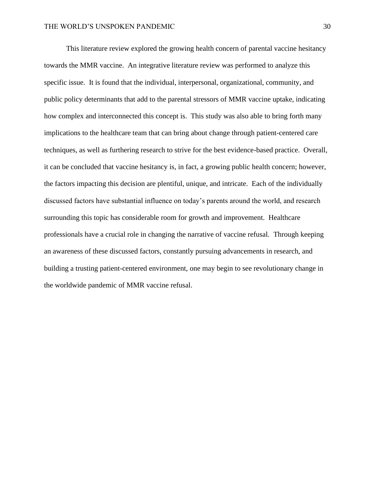This literature review explored the growing health concern of parental vaccine hesitancy towards the MMR vaccine. An integrative literature review was performed to analyze this specific issue. It is found that the individual, interpersonal, organizational, community, and public policy determinants that add to the parental stressors of MMR vaccine uptake, indicating how complex and interconnected this concept is. This study was also able to bring forth many implications to the healthcare team that can bring about change through patient-centered care techniques, as well as furthering research to strive for the best evidence-based practice. Overall, it can be concluded that vaccine hesitancy is, in fact, a growing public health concern; however, the factors impacting this decision are plentiful, unique, and intricate. Each of the individually discussed factors have substantial influence on today's parents around the world, and research surrounding this topic has considerable room for growth and improvement. Healthcare professionals have a crucial role in changing the narrative of vaccine refusal. Through keeping an awareness of these discussed factors, constantly pursuing advancements in research, and building a trusting patient-centered environment, one may begin to see revolutionary change in the worldwide pandemic of MMR vaccine refusal.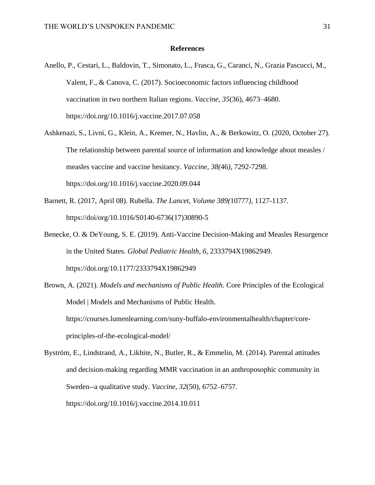#### **References**

- Anello, P., Cestari, L., Baldovin, T., Simonato, L., Frasca, G., Caranci, N., Grazia Pascucci, M., Valent, F., & Canova, C. (2017). Socioeconomic factors influencing childhood vaccination in two northern Italian regions. *Vaccine*, *35*(36), 4673–4680. https://doi.org/10.1016/j.vaccine.2017.07.058
- Ashkenazi, S., Livni, G., Klein, A., Kremer, N., Havlin, A., & Berkowitz, O. (2020, October 27). The relationship between parental source of information and knowledge about measles / measles vaccine and vaccine hesitancy. *Vaccine, 38(*46*),* 7292-7298. https://doi.org/10.1016/j.vaccine.2020.09.044
- Barnett, R. (2017, April 08). Rubella. *The Lancet, Volume 389(*10777*),* 1127-1137. https://doi/org/10.1016/S0140-6736(17)30890-5
- Benecke, O. & DeYoung, S. E. (2019). Anti-Vaccine Decision-Making and Measles Resurgence in the United States. *Global Pediatric Health*, *6*, 2333794X19862949. https://doi.org/10.1177/2333794X19862949
- Brown, A. (2021). *Models and mechanisms of Public Health*. Core Principles of the Ecological Model | Models and Mechanisms of Public Health. https://courses.lumenlearning.com/suny-buffalo-environmentalhealth/chapter/coreprinciples-of-the-ecological-model/
- Byström, E., Lindstrand, A., Likhite, N., Butler, R., & Emmelin, M. (2014). Parental attitudes and decision-making regarding MMR vaccination in an anthroposophic community in Sweden--a qualitative study. *Vaccine*, *32*(50), 6752–6757. https://doi.org/10.1016/j.vaccine.2014.10.011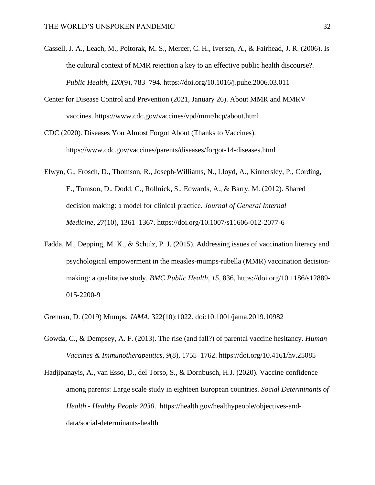- Cassell, J. A., Leach, M., Poltorak, M. S., Mercer, C. H., Iversen, A., & Fairhead, J. R. (2006). Is the cultural context of MMR rejection a key to an effective public health discourse?. *Public Health*, *120*(9), 783–794. https://doi.org/10.1016/j.puhe.2006.03.011
- Center for Disease Control and Prevention (2021, January 26). About MMR and MMRV vaccines. https://www.cdc.gov/vaccines/vpd/mmr/hcp/about.html
- CDC (2020). Diseases You Almost Forgot About (Thanks to Vaccines). https://www.cdc.gov/vaccines/parents/diseases/forgot-14-diseases.html
- Elwyn, G., Frosch, D., Thomson, R., Joseph-Williams, N., Lloyd, A., Kinnersley, P., Cording, E., Tomson, D., Dodd, C., Rollnick, S., Edwards, A., & Barry, M. (2012). Shared decision making: a model for clinical practice. *Journal of General Internal Medicine*, *27*(10), 1361–1367. https://doi.org/10.1007/s11606-012-2077-6
- Fadda, M., Depping, M. K., & Schulz, P. J. (2015). Addressing issues of vaccination literacy and psychological empowerment in the measles-mumps-rubella (MMR) vaccination decisionmaking: a qualitative study. *BMC Public Health*, *15*, 836. https://doi.org/10.1186/s12889- 015-2200-9
- Grennan, D. (2019) Mumps. *JAMA.* 322(10):1022. doi:10.1001/jama.2019.10982
- Gowda, C., & Dempsey, A. F. (2013). The rise (and fall?) of parental vaccine hesitancy. *Human Vaccines & Immunotherapeutics*, *9*(8), 1755–1762. https://doi.org/10.4161/hv.25085
- Hadjipanayis, A., van Esso, D., del Torso, S., & Dornbusch, H.J. (2020). Vaccine confidence among parents: Large scale study in eighteen European countries. *Social Determinants of Health - Healthy People 2030*. https://health.gov/healthypeople/objectives-anddata/social-determinants-health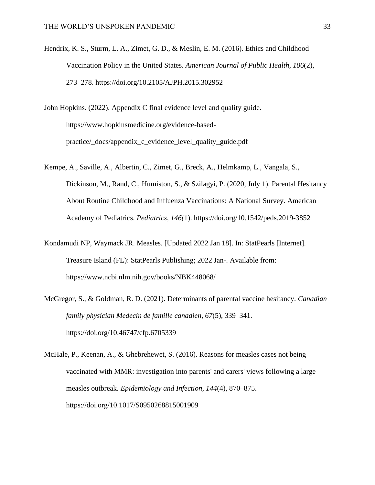- Hendrix, K. S., Sturm, L. A., Zimet, G. D., & Meslin, E. M. (2016). Ethics and Childhood Vaccination Policy in the United States. *American Journal of Public Health*, *106*(2), 273–278. https://doi.org/10.2105/AJPH.2015.302952
- John Hopkins. (2022). Appendix C final evidence level and quality guide. https://www.hopkinsmedicine.org/evidence-basedpractice/\_docs/appendix\_c\_evidence\_level\_quality\_guide.pdf
- Kempe, A., Saville, A., Albertin, C., Zimet, G., Breck, A., Helmkamp, L., Vangala, S., Dickinson, M., Rand, C., Humiston, S., & Szilagyi, P. (2020, July 1). Parental Hesitancy About Routine Childhood and Influenza Vaccinations: A National Survey. American Academy of Pediatrics. *Pediatrics, 146(*1). https://doi.org/10.1542/peds.2019-3852
- Kondamudi NP, Waymack JR. Measles. [Updated 2022 Jan 18]. In: StatPearls [Internet]. Treasure Island (FL): StatPearls Publishing; 2022 Jan-. Available from: https://www.ncbi.nlm.nih.gov/books/NBK448068/
- McGregor, S., & Goldman, R. D. (2021). Determinants of parental vaccine hesitancy. *Canadian family physician Medecin de famille canadien*, *67*(5), 339–341. https://doi.org/10.46747/cfp.6705339
- McHale, P., Keenan, A., & Ghebrehewet, S. (2016). Reasons for measles cases not being vaccinated with MMR: investigation into parents' and carers' views following a large measles outbreak. *Epidemiology and Infection*, *144*(4), 870–875. https://doi.org/10.1017/S0950268815001909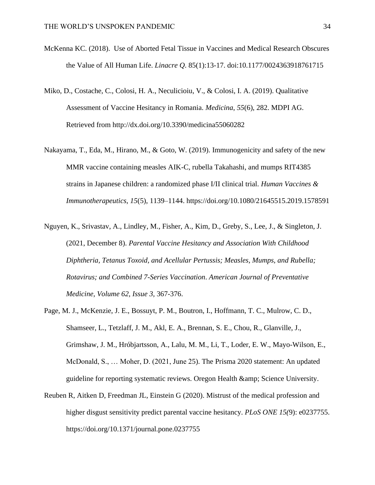- McKenna KC. (2018). Use of Aborted Fetal Tissue in Vaccines and Medical Research Obscures the Value of All Human Life. *Linacre Q*. 85(1):13-17. doi:10.1177/0024363918761715
- Miko, D., Costache, C., Colosi, H. A., Neculicioiu, V., & Colosi, I. A. (2019). Qualitative Assessment of Vaccine Hesitancy in Romania. *Medicina*, *55*(6), 282. MDPI AG. Retrieved from http://dx.doi.org/10.3390/medicina55060282
- Nakayama, T., Eda, M., Hirano, M., & Goto, W. (2019). Immunogenicity and safety of the new MMR vaccine containing measles AIK-C, rubella Takahashi, and mumps RIT4385 strains in Japanese children: a randomized phase I/II clinical trial. *Human Vaccines & Immunotherapeutics*, *15*(5), 1139–1144. https://doi.org/10.1080/21645515.2019.1578591
- Nguyen, K., Srivastav, A., Lindley, M., Fisher, A., Kim, D., Greby, S., Lee, J., & Singleton, J. (2021, December 8). *Parental Vaccine Hesitancy and Association With Childhood Diphtheria, Tetanus Toxoid, and Acellular Pertussis; Measles, Mumps, and Rubella; Rotavirus; and Combined 7-Series Vaccination*. *American Journal of Preventative Medicine, Volume 62, Issue 3,* 367-376.
- Page, M. J., McKenzie, J. E., Bossuyt, P. M., Boutron, I., Hoffmann, T. C., Mulrow, C. D., Shamseer, L., Tetzlaff, J. M., Akl, E. A., Brennan, S. E., Chou, R., Glanville, J., Grimshaw, J. M., Hróbjartsson, A., Lalu, M. M., Li, T., Loder, E. W., Mayo-Wilson, E., McDonald, S., … Moher, D. (2021, June 25). The Prisma 2020 statement: An updated guideline for reporting systematic reviews. Oregon Health & amp; Science University.
- Reuben R, Aitken D, Freedman JL, Einstein G (2020). Mistrust of the medical profession and higher disgust sensitivity predict parental vaccine hesitancy. *PLoS ONE 15(*9): e0237755. https://doi.org/10.1371/journal.pone.0237755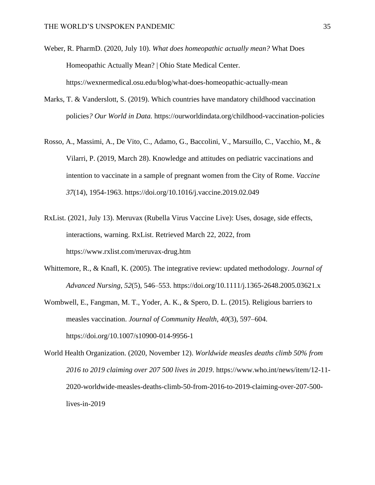- Weber, R. PharmD. (2020, July 10). *What does homeopathic actually mean?* What Does Homeopathic Actually Mean? | Ohio State Medical Center. https://wexnermedical.osu.edu/blog/what-does-homeopathic-actually-mean
- Marks, T. & Vanderslott, S. (2019). Which countries have mandatory childhood vaccination policies*? Our World in Data.* https://ourworldindata.org/childhood-vaccination-policies
- Rosso, A., Massimi, A., De Vito, C., Adamo, G., Baccolini, V., Marsuillo, C., Vacchio, M., & Vilarri, P. (2019, March 28). Knowledge and attitudes on pediatric vaccinations and intention to vaccinate in a sample of pregnant women from the City of Rome. *Vaccine 37*(14), 1954-1963. https://doi.org/10.1016/j.vaccine.2019.02.049
- RxList. (2021, July 13). Meruvax (Rubella Virus Vaccine Live): Uses, dosage, side effects, interactions, warning. RxList. Retrieved March 22, 2022, from https://www.rxlist.com/meruvax-drug.htm
- Whittemore, R., & Knafl, K. (2005). The integrative review: updated methodology. *Journal of Advanced Nursing*, *52*(5), 546–553. https://doi.org/10.1111/j.1365-2648.2005.03621.x
- Wombwell, E., Fangman, M. T., Yoder, A. K., & Spero, D. L. (2015). Religious barriers to measles vaccination. *Journal of Community Health*, *40*(3), 597–604. https://doi.org/10.1007/s10900-014-9956-1
- World Health Organization. (2020, November 12). *Worldwide measles deaths climb 50% from 2016 to 2019 claiming over 207 500 lives in 2019*. https://www.who.int/news/item/12-11- 2020-worldwide-measles-deaths-climb-50-from-2016-to-2019-claiming-over-207-500 lives-in-2019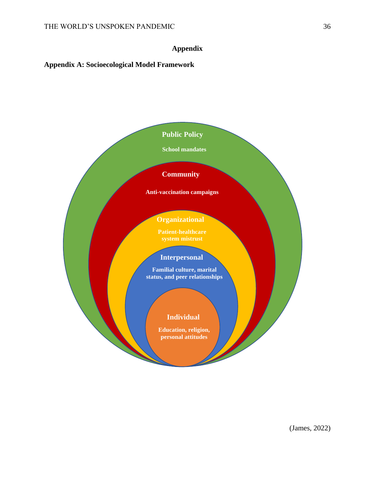# **Appendix**

# **Appendix A: Socioecological Model Framework**

### **Public Policy**

**School mandates** 

# **Community**

**Anti-vaccination campaigns** 

# **Organizational**

**Patient-healthcare** 

# **Interpersonal**

**Familial culture, marital status, and peer relationships**

## **Individual**

**Education, religion, personal attitudes**

(James, 2022)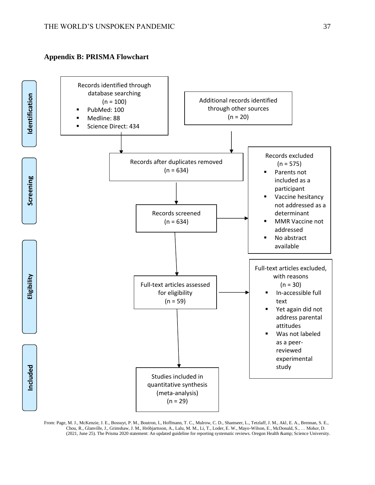### **Appendix B: PRISMA Flowchart**



From: Page, M. J., McKenzie, J. E., Bossuyt, P. M., Boutron, I., Hoffmann, T. C., Mulrow, C. D., Shamseer, L., Tetzlaff, J. M., Akl, E. A., Brennan, S. E., Chou, R., Glanville, J., Grimshaw, J. M., Hróbjartsson, A., Lalu, M. M., Li, T., Loder, E. W., Mayo-Wilson, E., McDonald, S., … Moher, D. (2021, June 25). The Prisma 2020 statement: An updated guideline for reporting systematic reviews. Oregon Health & amp; Science University.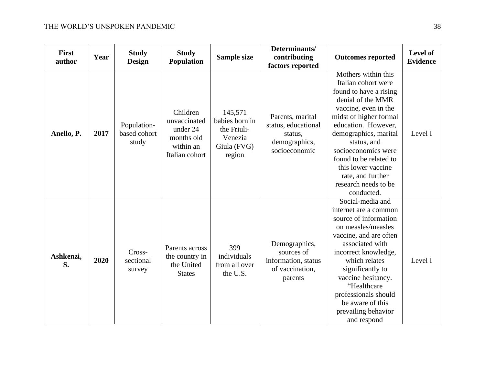| <b>First</b><br>author | Year | <b>Study</b><br><b>Design</b>        | <b>Study</b><br><b>Population</b>                                                 | Sample size                                                                  | Determinants/<br>contributing<br>factors reported                                    | <b>Outcomes reported</b>                                                                                                                                                                                                                                                                                                                     | Level of<br><b>Evidence</b> |
|------------------------|------|--------------------------------------|-----------------------------------------------------------------------------------|------------------------------------------------------------------------------|--------------------------------------------------------------------------------------|----------------------------------------------------------------------------------------------------------------------------------------------------------------------------------------------------------------------------------------------------------------------------------------------------------------------------------------------|-----------------------------|
| Anello, P.             | 2017 | Population-<br>based cohort<br>study | Children<br>unvaccinated<br>under 24<br>months old<br>within an<br>Italian cohort | 145,571<br>babies born in<br>the Friuli-<br>Venezia<br>Giula (FVG)<br>region | Parents, marital<br>status, educational<br>status,<br>demographics,<br>socioeconomic | Mothers within this<br>Italian cohort were<br>found to have a rising<br>denial of the MMR<br>vaccine, even in the<br>midst of higher formal<br>education. However,<br>demographics, marital<br>status, and<br>socioeconomics were<br>found to be related to<br>this lower vaccine<br>rate, and further<br>research needs to be<br>conducted. | Level I                     |
| Ashkenzi,<br>S.        | 2020 | Cross-<br>sectional<br>survey        | Parents across<br>the country in<br>the United<br><b>States</b>                   | 399<br>individuals<br>from all over<br>the U.S.                              | Demographics,<br>sources of<br>information, status<br>of vaccination,<br>parents     | Social-media and<br>internet are a common<br>source of information<br>on measles/measles<br>vaccine, and are often<br>associated with<br>incorrect knowledge,<br>which relates<br>significantly to<br>vaccine hesitancy.<br>"Healthcare<br>professionals should<br>be aware of this<br>prevailing behavior<br>and respond                    | Level I                     |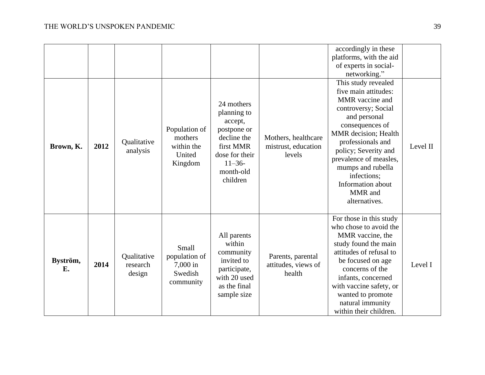|                |      |                                   |                                                             |                                                                                                                                         |                                                      | accordingly in these<br>platforms, with the aid<br>of experts in social-<br>networking."                                                                                                                                                                                                                     |          |
|----------------|------|-----------------------------------|-------------------------------------------------------------|-----------------------------------------------------------------------------------------------------------------------------------------|------------------------------------------------------|--------------------------------------------------------------------------------------------------------------------------------------------------------------------------------------------------------------------------------------------------------------------------------------------------------------|----------|
| Brown, K.      | 2012 | Qualitative<br>analysis           | Population of<br>mothers<br>within the<br>United<br>Kingdom | 24 mothers<br>planning to<br>accept,<br>postpone or<br>decline the<br>first MMR<br>dose for their<br>$11 - 36$<br>month-old<br>children | Mothers, healthcare<br>mistrust, education<br>levels | This study revealed<br>five main attitudes:<br>MMR vaccine and<br>controversy; Social<br>and personal<br>consequences of<br>MMR decision; Health<br>professionals and<br>policy; Severity and<br>prevalence of measles,<br>mumps and rubella<br>infections;<br>Information about<br>MMR and<br>alternatives. | Level II |
| Byström,<br>Е. | 2014 | Qualitative<br>research<br>design | Small<br>population of<br>7,000 in<br>Swedish<br>community  | All parents<br>within<br>community<br>invited to<br>participate,<br>with 20 used<br>as the final<br>sample size                         | Parents, parental<br>attitudes, views of<br>health   | For those in this study<br>who chose to avoid the<br>MMR vaccine, the<br>study found the main<br>attitudes of refusal to<br>be focused on age<br>concerns of the<br>infants, concerned<br>with vaccine safety, or<br>wanted to promote<br>natural immunity<br>within their children.                         | Level I  |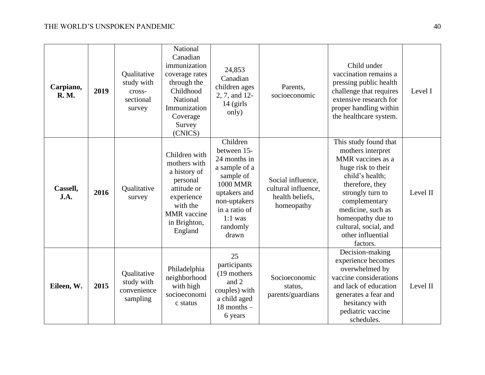| Carpiano,<br><b>R.</b> M. | 2019 | Qualitative<br>study with<br>cross-<br>sectional<br>survey | National<br>Canadian<br>immunization<br>coverage rates<br>through the<br>Childhood<br>National<br>Immunization<br>Coverage<br>Survey<br>(CNICS)     | 24,853<br>Canadian<br>children ages<br>2, 7, and 12-<br>$14$ (girls<br>only)                                                                                                | Parents,<br>socioeconomic                                                 | Child under<br>vaccination remains a<br>pressing public health<br>challenge that requires<br>extensive research for<br>proper handling within<br>the healthcare system.                                                                                              | Level I  |
|---------------------------|------|------------------------------------------------------------|-----------------------------------------------------------------------------------------------------------------------------------------------------|-----------------------------------------------------------------------------------------------------------------------------------------------------------------------------|---------------------------------------------------------------------------|----------------------------------------------------------------------------------------------------------------------------------------------------------------------------------------------------------------------------------------------------------------------|----------|
| Cassell,<br>J.A.          | 2016 | Qualitative<br>survey                                      | Children with<br>mothers with<br>a history of<br>personal<br>attitude or<br>experience<br>with the<br><b>MMR</b> vaccine<br>in Brighton,<br>England | Children<br>between 15-<br>24 months in<br>a sample of a<br>sample of<br><b>1000 MMR</b><br>uptakers and<br>non-uptakers<br>in a ratio of<br>$1:1$ was<br>randomly<br>drawn | Social influence,<br>cultural influence,<br>health beliefs,<br>homeopathy | This study found that<br>mothers interpret<br>MMR vaccines as a<br>huge risk to their<br>child's health;<br>therefore, they<br>strongly turn to<br>complementary<br>medicine, such as<br>homeopathy due to<br>cultural, social, and<br>other influential<br>factors. | Level II |
| Eileen, W.                | 2015 | Qualitative<br>study with<br>convenience<br>sampling       | Philadelphia<br>neighborhood<br>with high<br>socioeconomi<br>c status                                                                               | 25<br>participants<br>(19 mothers)<br>and 2<br>couples) with<br>a child aged<br>$18$ months $-$<br>6 years                                                                  | Socioeconomic<br>status,<br>parents/guardians                             | Decision-making<br>experience becomes<br>overwhelmed by<br>vaccine considerations<br>and lack of education<br>generates a fear and<br>hesitancy with<br>pediatric vaccine<br>schedules.                                                                              | Level II |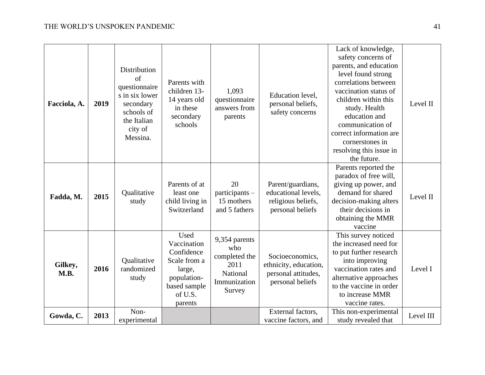| Facciola, A.           | 2019 | Distribution<br>of<br>questionnaire<br>s in six lower<br>secondary<br>schools of<br>the Italian<br>city of<br>Messina. | Parents with<br>children 13-<br>14 years old<br>in these<br>secondary<br>schools                                 | 1,093<br>questionnaire<br>answers from<br>parents                                   | Education level,<br>personal beliefs,<br>safety concerns                            | Lack of knowledge,<br>safety concerns of<br>parents, and education<br>level found strong<br>correlations between<br>vaccination status of<br>children within this<br>study. Health<br>education and<br>communication of<br>correct information are<br>cornerstones in<br>resolving this issue in<br>the future. | Level II  |
|------------------------|------|------------------------------------------------------------------------------------------------------------------------|------------------------------------------------------------------------------------------------------------------|-------------------------------------------------------------------------------------|-------------------------------------------------------------------------------------|-----------------------------------------------------------------------------------------------------------------------------------------------------------------------------------------------------------------------------------------------------------------------------------------------------------------|-----------|
| Fadda, M.              | 2015 | Qualitative<br>study                                                                                                   | Parents of at<br>least one<br>child living in<br>Switzerland                                                     | 20<br>participants -<br>15 mothers<br>and 5 fathers                                 | Parent/guardians,<br>educational levels,<br>religious beliefs,<br>personal beliefs  | Parents reported the<br>paradox of free will,<br>giving up power, and<br>demand for shared<br>decision-making alters<br>their decisions in<br>obtaining the MMR<br>vaccine                                                                                                                                      | Level II  |
| Gilkey,<br><b>M.B.</b> | 2016 | Qualitative<br>randomized<br>study                                                                                     | Used<br>Vaccination<br>Confidence<br>Scale from a<br>large,<br>population-<br>based sample<br>of U.S.<br>parents | 9,354 parents<br>who<br>completed the<br>2011<br>National<br>Immunization<br>Survey | Socioeconomics,<br>ethnicity, education,<br>personal attitudes,<br>personal beliefs | This survey noticed<br>the increased need for<br>to put further research<br>into improving<br>vaccination rates and<br>alternative approaches<br>to the vaccine in order<br>to increase MMR<br>vaccine rates.                                                                                                   | Level I   |
| Gowda, C.              | 2013 | Non-<br>experimental                                                                                                   |                                                                                                                  |                                                                                     | External factors,<br>vaccine factors, and                                           | This non-experimental<br>study revealed that                                                                                                                                                                                                                                                                    | Level III |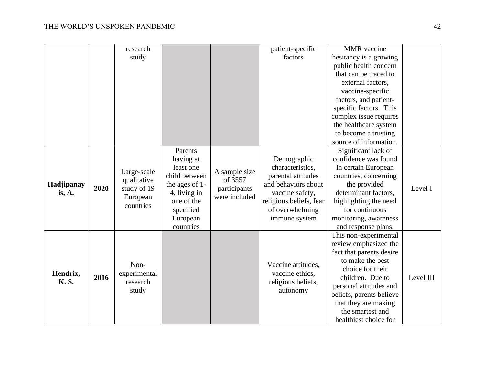|             |      | research                               |                                                          |                                          | patient-specific        | <b>MMR</b> vaccine                               |           |
|-------------|------|----------------------------------------|----------------------------------------------------------|------------------------------------------|-------------------------|--------------------------------------------------|-----------|
|             |      | study                                  |                                                          |                                          | factors                 | hesitancy is a growing                           |           |
|             |      |                                        |                                                          |                                          |                         | public health concern                            |           |
|             |      |                                        |                                                          |                                          |                         | that can be traced to                            |           |
|             |      |                                        |                                                          |                                          |                         | external factors,                                |           |
|             |      |                                        |                                                          |                                          |                         | vaccine-specific                                 |           |
|             |      |                                        |                                                          |                                          |                         | factors, and patient-                            |           |
|             |      |                                        |                                                          |                                          |                         | specific factors. This                           |           |
|             |      |                                        |                                                          |                                          |                         | complex issue requires                           |           |
|             |      |                                        |                                                          |                                          |                         | the healthcare system                            |           |
|             |      |                                        |                                                          |                                          |                         | to become a trusting                             |           |
|             |      |                                        |                                                          |                                          |                         | source of information.                           |           |
|             |      |                                        | Parents                                                  |                                          |                         | Significant lack of                              |           |
|             | 2020 |                                        | having at<br>least one<br>A sample size<br>child between |                                          | Demographic             | confidence was found                             |           |
|             |      | Large-scale                            |                                                          |                                          | characteristics,        | in certain European                              |           |
|             |      | qualitative<br>study of 19<br>European |                                                          | of 3557<br>participants<br>were included | parental attitudes      | countries, concerning                            |           |
| Hadjipanay  |      |                                        | the ages of 1-                                           |                                          | and behaviors about     | the provided                                     | Level I   |
| is, A.      |      |                                        | 4, living in                                             |                                          | vaccine safety,         | determinant factors,                             |           |
|             |      | countries                              | one of the                                               |                                          | religious beliefs, fear | highlighting the need                            |           |
|             |      |                                        | specified                                                |                                          | of overwhelming         | for continuous                                   |           |
|             |      |                                        | European                                                 |                                          | immune system           | monitoring, awareness                            |           |
|             |      |                                        | countries                                                |                                          |                         | and response plans.                              |           |
|             |      |                                        |                                                          |                                          |                         | This non-experimental                            |           |
|             |      |                                        |                                                          |                                          |                         | review emphasized the                            |           |
|             |      |                                        |                                                          |                                          |                         | fact that parents desire                         |           |
|             |      | Non-                                   |                                                          |                                          | Vaccine attitudes,      | to make the best                                 |           |
| Hendrix,    | 2016 | experimental                           |                                                          |                                          | vaccine ethics,         | choice for their                                 | Level III |
| <b>K.S.</b> |      | research                               |                                                          |                                          | religious beliefs,      | children. Due to                                 |           |
|             |      | study                                  |                                                          |                                          | autonomy                | personal attitudes and                           |           |
|             |      |                                        |                                                          |                                          |                         | beliefs, parents believe<br>that they are making |           |
|             |      |                                        |                                                          |                                          |                         | the smartest and                                 |           |
|             |      |                                        |                                                          |                                          |                         | healthiest choice for                            |           |
|             |      |                                        |                                                          |                                          |                         |                                                  |           |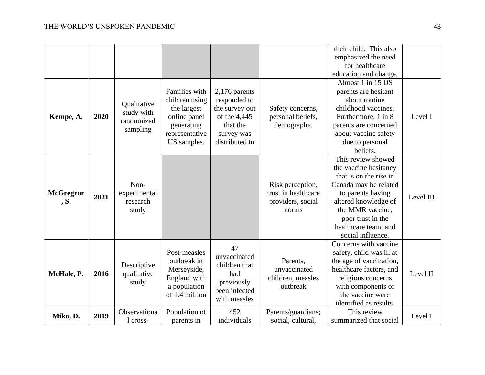|                          |      |                                                     |                                                                                                               |                                                                                                               |                                                                       | their child. This also<br>emphasized the need<br>for healthcare                                                                                                                                                                   |           |
|--------------------------|------|-----------------------------------------------------|---------------------------------------------------------------------------------------------------------------|---------------------------------------------------------------------------------------------------------------|-----------------------------------------------------------------------|-----------------------------------------------------------------------------------------------------------------------------------------------------------------------------------------------------------------------------------|-----------|
| Kempe, A.                | 2020 | Qualitative<br>study with<br>randomized<br>sampling | Families with<br>children using<br>the largest<br>online panel<br>generating<br>representative<br>US samples. | $2,176$ parents<br>responded to<br>the survey out<br>of the 4,445<br>that the<br>survey was<br>distributed to | Safety concerns,<br>personal beliefs,<br>demographic                  | education and change.<br>Almost 1 in 15 US<br>parents are hesitant<br>about routine<br>childhood vaccines.<br>Furthermore, 1 in 8<br>parents are concerned<br>about vaccine safety<br>due to personal<br>beliefs.                 | Level I   |
| <b>McGregror</b><br>, S. | 2021 | Non-<br>experimental<br>research<br>study           |                                                                                                               |                                                                                                               | Risk perception,<br>trust in healthcare<br>providers, social<br>norms | This review showed<br>the vaccine hesitancy<br>that is on the rise in<br>Canada may be related<br>to parents having<br>altered knowledge of<br>the MMR vaccine,<br>poor trust in the<br>healthcare team, and<br>social influence. | Level III |
| McHale, P.               | 2016 | Descriptive<br>qualitative<br>study                 | Post-measles<br>outbreak in<br>Merseyside,<br>England with<br>a population<br>of 1.4 million                  | 47<br>unvaccinated<br>children that<br>had<br>previously<br>been infected<br>with measles                     | Parents,<br>unvaccinated<br>children, measles<br>outbreak             | Concerns with vaccine<br>safety, child was ill at<br>the age of vaccination,<br>healthcare factors, and<br>religious concerns<br>with components of<br>the vaccine were<br>identified as results.                                 | Level II  |
| Miko, D.                 | 2019 | Observationa<br>1 cross-                            | Population of<br>parents in                                                                                   | 452<br>individuals                                                                                            | Parents/guardians;<br>social, cultural,                               | This review<br>summarized that social                                                                                                                                                                                             | Level I   |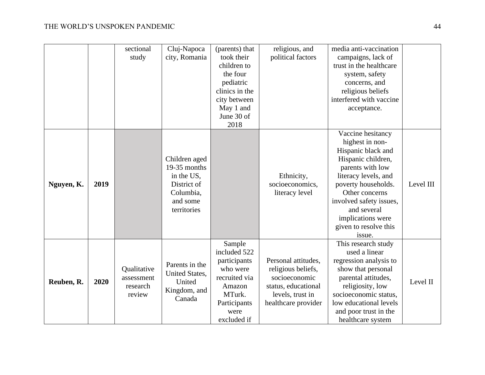|            |      | sectional<br>study                              | Cluj-Napoca<br>city, Romania                                                                       | (parents) that<br>took their<br>children to<br>the four<br>pediatric<br>clinics in the<br>city between<br>May 1 and<br>June 30 of<br>2018 | religious, and<br>political factors                                                                                          | media anti-vaccination<br>campaigns, lack of<br>trust in the healthcare<br>system, safety<br>concerns, and<br>religious beliefs<br>interfered with vaccine<br>acceptance.                                                                                               |           |
|------------|------|-------------------------------------------------|----------------------------------------------------------------------------------------------------|-------------------------------------------------------------------------------------------------------------------------------------------|------------------------------------------------------------------------------------------------------------------------------|-------------------------------------------------------------------------------------------------------------------------------------------------------------------------------------------------------------------------------------------------------------------------|-----------|
| Nguyen, K. | 2019 |                                                 | Children aged<br>19-35 months<br>in the US,<br>District of<br>Columbia,<br>and some<br>territories |                                                                                                                                           | Ethnicity,<br>socioeconomics,<br>literacy level                                                                              | Vaccine hesitancy<br>highest in non-<br>Hispanic black and<br>Hispanic children,<br>parents with low<br>literacy levels, and<br>poverty households.<br>Other concerns<br>involved safety issues,<br>and several<br>implications were<br>given to resolve this<br>issue. | Level III |
| Reuben, R. | 2020 | Qualitative<br>assessment<br>research<br>review | Parents in the<br>United States,<br>United<br>Kingdom, and<br>Canada                               | Sample<br>included 522<br>participants<br>who were<br>recruited via<br>Amazon<br>MTurk.<br>Participants<br>were<br>excluded if            | Personal attitudes,<br>religious beliefs,<br>socioeconomic<br>status, educational<br>levels, trust in<br>healthcare provider | This research study<br>used a linear<br>regression analysis to<br>show that personal<br>parental attitudes,<br>religiosity, low<br>socioeconomic status,<br>low educational levels<br>and poor trust in the<br>healthcare system                                        | Level II  |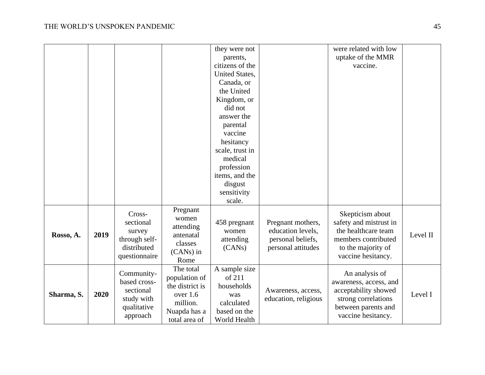|            |      |                                                                                  |                                                                                                          | they were not<br>parents,<br>citizens of the<br>United States,<br>Canada, or<br>the United<br>Kingdom, or<br>did not<br>answer the<br>parental<br>vaccine<br>hesitancy<br>scale, trust in<br>medical<br>profession<br>items, and the |                                                                                   | were related with low<br>uptake of the MMR<br>vaccine.                                                                               |          |
|------------|------|----------------------------------------------------------------------------------|----------------------------------------------------------------------------------------------------------|--------------------------------------------------------------------------------------------------------------------------------------------------------------------------------------------------------------------------------------|-----------------------------------------------------------------------------------|--------------------------------------------------------------------------------------------------------------------------------------|----------|
|            |      |                                                                                  |                                                                                                          | disgust<br>sensitivity<br>scale.                                                                                                                                                                                                     |                                                                                   |                                                                                                                                      |          |
| Rosso, A.  | 2019 | Cross-<br>sectional<br>survey<br>through self-<br>distributed<br>questionnaire   | Pregnant<br>women<br>attending<br>antenatal<br>classes<br>(CANs) in<br>Rome                              | 458 pregnant<br>women<br>attending<br>(CANs)                                                                                                                                                                                         | Pregnant mothers,<br>education levels,<br>personal beliefs,<br>personal attitudes | Skepticism about<br>safety and mistrust in<br>the healthcare team<br>members contributed<br>to the majority of<br>vaccine hesitancy. | Level II |
| Sharma, S. | 2020 | Community-<br>based cross-<br>sectional<br>study with<br>qualitative<br>approach | The total<br>population of<br>the district is<br>over $1.6$<br>million.<br>Nuapda has a<br>total area of | A sample size<br>of 211<br>households<br>was<br>calculated<br>based on the<br>World Health                                                                                                                                           | Awareness, access,<br>education, religious                                        | An analysis of<br>awareness, access, and<br>acceptability showed<br>strong correlations<br>between parents and<br>vaccine hesitancy. | Level I  |